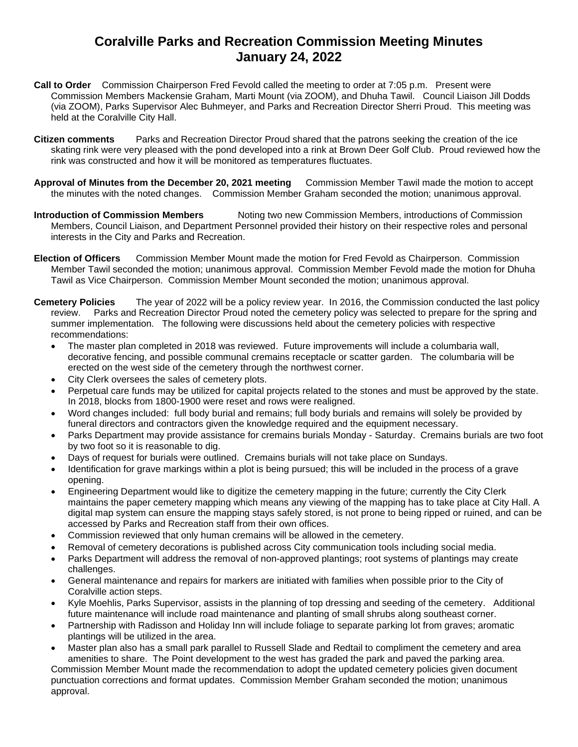## **Coralville Parks and Recreation Commission Meeting Minutes January 24, 2022**

- **Call to Order** Commission Chairperson Fred Fevold called the meeting to order at 7:05 p.m. Present were Commission Members Mackensie Graham, Marti Mount (via ZOOM), and Dhuha Tawil. Council Liaison Jill Dodds (via ZOOM), Parks Supervisor Alec Buhmeyer, and Parks and Recreation Director Sherri Proud. This meeting was held at the Coralville City Hall.
- **Citizen comments** Parks and Recreation Director Proud shared that the patrons seeking the creation of the ice skating rink were very pleased with the pond developed into a rink at Brown Deer Golf Club. Proud reviewed how the rink was constructed and how it will be monitored as temperatures fluctuates.
- **Approval of Minutes from the December 20, 2021 meeting** Commission Member Tawil made the motion to accept the minutes with the noted changes. Commission Member Graham seconded the motion; unanimous approval.
- **Introduction of Commission Members** Noting two new Commission Members, introductions of Commission Members, Council Liaison, and Department Personnel provided their history on their respective roles and personal interests in the City and Parks and Recreation.
- **Election of Officers** Commission Member Mount made the motion for Fred Fevold as Chairperson. Commission Member Tawil seconded the motion; unanimous approval. Commission Member Fevold made the motion for Dhuha Tawil as Vice Chairperson. Commission Member Mount seconded the motion; unanimous approval.
- **Cemetery Policies** The year of 2022 will be a policy review year. In 2016, the Commission conducted the last policy review. Parks and Recreation Director Proud noted the cemetery policy was selected to prepare for the spring and summer implementation.The following were discussions held about the cemetery policies with respective recommendations:
	- The master plan completed in 2018 was reviewed. Future improvements will include a columbaria wall, decorative fencing, and possible communal cremains receptacle or scatter garden. The columbaria will be erected on the west side of the cemetery through the northwest corner.
	- City Clerk oversees the sales of cemetery plots.
	- Perpetual care funds may be utilized for capital projects related to the stones and must be approved by the state. In 2018, blocks from 1800-1900 were reset and rows were realigned.
	- Word changes included: full body burial and remains; full body burials and remains will solely be provided by funeral directors and contractors given the knowledge required and the equipment necessary.
	- Parks Department may provide assistance for cremains burials Monday Saturday. Cremains burials are two foot by two foot so it is reasonable to dig.
	- Days of request for burials were outlined. Cremains burials will not take place on Sundays.
	- Identification for grave markings within a plot is being pursued; this will be included in the process of a grave opening.
	- Engineering Department would like to digitize the cemetery mapping in the future; currently the City Clerk maintains the paper cemetery mapping which means any viewing of the mapping has to take place at City Hall. A digital map system can ensure the mapping stays safely stored, is not prone to being ripped or ruined, and can be accessed by Parks and Recreation staff from their own offices.
	- Commission reviewed that only human cremains will be allowed in the cemetery.
	- Removal of cemetery decorations is published across City communication tools including social media.
	- Parks Department will address the removal of non-approved plantings; root systems of plantings may create challenges.
	- General maintenance and repairs for markers are initiated with families when possible prior to the City of Coralville action steps.
	- Kyle Moehlis, Parks Supervisor, assists in the planning of top dressing and seeding of the cemetery. Additional future maintenance will include road maintenance and planting of small shrubs along southeast corner.
	- Partnership with Radisson and Holiday Inn will include foliage to separate parking lot from graves; aromatic plantings will be utilized in the area.
	- Master plan also has a small park parallel to Russell Slade and Redtail to compliment the cemetery and area amenities to share. The Point development to the west has graded the park and paved the parking area.

Commission Member Mount made the recommendation to adopt the updated cemetery policies given document punctuation corrections and format updates. Commission Member Graham seconded the motion; unanimous approval.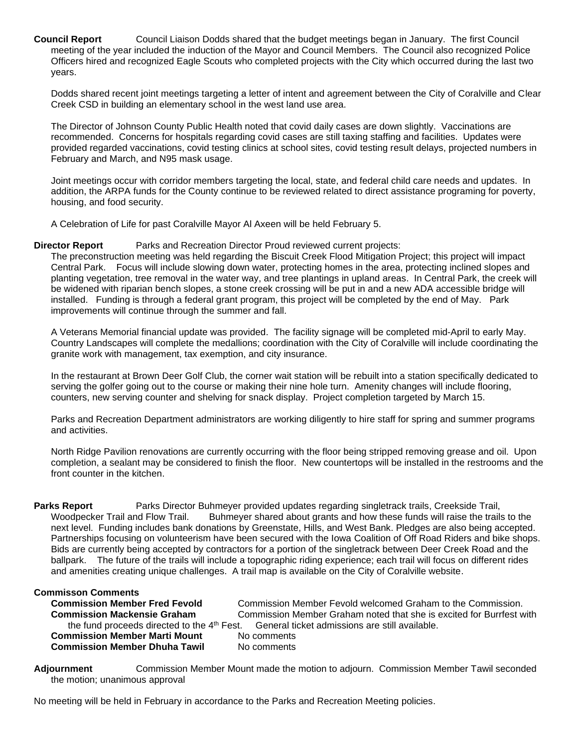**Council Report** Council Liaison Dodds shared that the budget meetings began in January. The first Council meeting of the year included the induction of the Mayor and Council Members. The Council also recognized Police Officers hired and recognized Eagle Scouts who completed projects with the City which occurred during the last two years.

Dodds shared recent joint meetings targeting a letter of intent and agreement between the City of Coralville and Clear Creek CSD in building an elementary school in the west land use area.

The Director of Johnson County Public Health noted that covid daily cases are down slightly. Vaccinations are recommended. Concerns for hospitals regarding covid cases are still taxing staffing and facilities. Updates were provided regarded vaccinations, covid testing clinics at school sites, covid testing result delays, projected numbers in February and March, and N95 mask usage.

Joint meetings occur with corridor members targeting the local, state, and federal child care needs and updates. In addition, the ARPA funds for the County continue to be reviewed related to direct assistance programing for poverty, housing, and food security.

A Celebration of Life for past Coralville Mayor Al Axeen will be held February 5.

**Director Report** Parks and Recreation Director Proud reviewed current projects:

The preconstruction meeting was held regarding the Biscuit Creek Flood Mitigation Project; this project will impact Central Park. Focus will include slowing down water, protecting homes in the area, protecting inclined slopes and planting vegetation, tree removal in the water way, and tree plantings in upland areas. In Central Park, the creek will be widened with riparian bench slopes, a stone creek crossing will be put in and a new ADA accessible bridge will installed. Funding is through a federal grant program, this project will be completed by the end of May. Park improvements will continue through the summer and fall.

A Veterans Memorial financial update was provided. The facility signage will be completed mid-April to early May. Country Landscapes will complete the medallions; coordination with the City of Coralville will include coordinating the granite work with management, tax exemption, and city insurance.

In the restaurant at Brown Deer Golf Club, the corner wait station will be rebuilt into a station specifically dedicated to serving the golfer going out to the course or making their nine hole turn. Amenity changes will include flooring, counters, new serving counter and shelving for snack display. Project completion targeted by March 15.

Parks and Recreation Department administrators are working diligently to hire staff for spring and summer programs and activities.

North Ridge Pavilion renovations are currently occurring with the floor being stripped removing grease and oil. Upon completion, a sealant may be considered to finish the floor. New countertops will be installed in the restrooms and the front counter in the kitchen.

**Parks Report** Parks Director Buhmeyer provided updates regarding singletrack trails, Creekside Trail, Woodpecker Trail and Flow Trail. Buhmeyer shared about grants and how these funds will raise the trails to the next level. Funding includes bank donations by Greenstate, Hills, and West Bank. Pledges are also being accepted. Partnerships focusing on volunteerism have been secured with the Iowa Coalition of Off Road Riders and bike shops. Bids are currently being accepted by contractors for a portion of the singletrack between Deer Creek Road and the ballpark. The future of the trails will include a topographic riding experience; each trail will focus on different rides and amenities creating unique challenges. A trail map is available on the City of Coralville website.

## **Commisson Comments**

| <b>Commission Member Fred Fevold</b>                   | Commission N |
|--------------------------------------------------------|--------------|
| <b>Commission Mackensie Graham</b>                     | Commission N |
| the fund proceeds directed to the 4th Fest. General ti |              |
| <b>Commission Member Marti Mount</b>                   | No comments  |
| <b>Commission Member Dhuha Tawil</b>                   | No comments  |

**Commission Member Fevold welcomed Graham to the Commission. Commission Member Graham noted that she is excited for Burrfest with burrfest and shall she is excited for Burrfest with and that she with and that shell and that shell and that shell and that shell and that suffer and th** the fund proceeds directed to the 4th Fest.General ticket admissions are still available. **Comments** 

**Adjournment** Commission Member Mount made the motion to adjourn. Commission Member Tawil seconded the motion; unanimous approval

No meeting will be held in February in accordance to the Parks and Recreation Meeting policies.